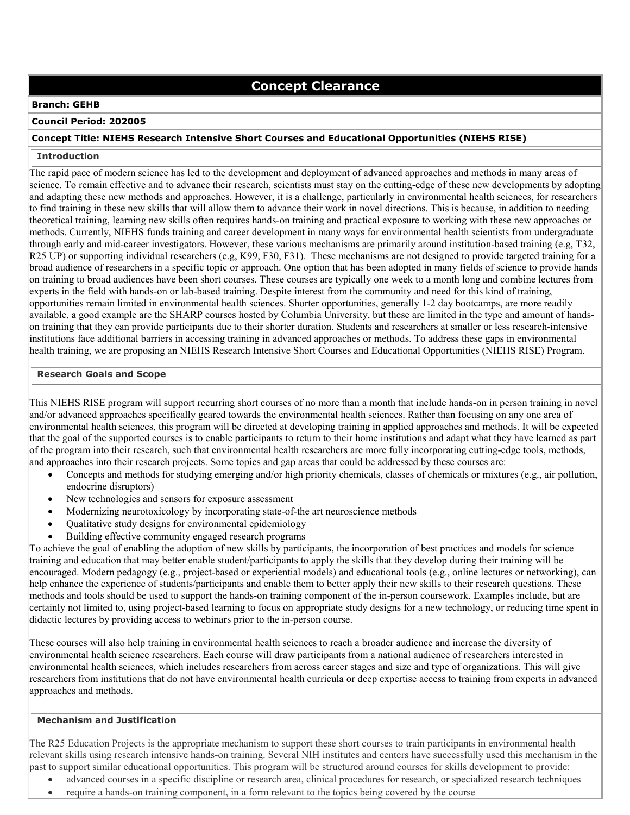# **Concept Clearance**

## **Branch: GEHB**

# **Council Period: 202005**

# **Concept Title: NIEHS Research Intensive Short Courses and Educational Opportunities (NIEHS RISE)**

### **Introduction**

The rapid pace of modern science has led to the development and deployment of advanced approaches and methods in many areas of science. To remain effective and to advance their research, scientists must stay on the cutting-edge of these new developments by adopting and adapting these new methods and approaches. However, it is a challenge, particularly in environmental health sciences, for researchers to find training in these new skills that will allow them to advance their work in novel directions. This is because, in addition to needing theoretical training, learning new skills often requires hands-on training and practical exposure to working with these new approaches or methods. Currently, NIEHS funds training and career development in many ways for environmental health scientists from undergraduate through early and mid-career investigators. However, these various mechanisms are primarily around institution-based training (e.g, T32, R25 UP) or supporting individual researchers (e.g, K99, F30, F31). These mechanisms are not designed to provide targeted training for a broad audience of researchers in a specific topic or approach. One option that has been adopted in many fields of science to provide hands on training to broad audiences have been short courses. These courses are typically one week to a month long and combine lectures from experts in the field with hands-on or lab-based training. Despite interest from the community and need for this kind of training, opportunities remain limited in environmental health sciences. Shorter opportunities, generally 1-2 day bootcamps, are more readily available, a good example are the SHARP courses hosted by Columbia University, but these are limited in the type and amount of handson training that they can provide participants due to their shorter duration. Students and researchers at smaller or less research-intensive institutions face additional barriers in accessing training in advanced approaches or methods. To address these gaps in environmental health training, we are proposing an NIEHS Research Intensive Short Courses and Educational Opportunities (NIEHS RISE) Program.

#### **Research Goals and Scope**

This NIEHS RISE program will support recurring short courses of no more than a month that include hands-on in person training in novel and/or advanced approaches specifically geared towards the environmental health sciences. Rather than focusing on any one area of environmental health sciences, this program will be directed at developing training in applied approaches and methods. It will be expected that the goal of the supported courses is to enable participants to return to their home institutions and adapt what they have learned as part of the program into their research, such that environmental health researchers are more fully incorporating cutting-edge tools, methods, and approaches into their research projects. Some topics and gap areas that could be addressed by these courses are:

- Concepts and methods for studying emerging and/or high priority chemicals, classes of chemicals or mixtures (e.g., air pollution, endocrine disruptors)
- New technologies and sensors for exposure assessment
- Modernizing neurotoxicology by incorporating state-of-the art neuroscience methods
- Qualitative study designs for environmental epidemiology
- Building effective community engaged research programs

To achieve the goal of enabling the adoption of new skills by participants, the incorporation of best practices and models for science training and education that may better enable student/participants to apply the skills that they develop during their training will be encouraged. Modern pedagogy (e.g., project-based or experiential models) and educational tools (e.g., online lectures or networking), can help enhance the experience of students/participants and enable them to better apply their new skills to their research questions. These methods and tools should be used to support the hands-on training component of the in-person coursework. Examples include, but are certainly not limited to, using project-based learning to focus on appropriate study designs for a new technology, or reducing time spent in didactic lectures by providing access to webinars prior to the in-person course.

These courses will also help training in environmental health sciences to reach a broader audience and increase the diversity of environmental health science researchers. Each course will draw participants from a national audience of researchers interested in environmental health sciences, which includes researchers from across career stages and size and type of organizations. This will give researchers from institutions that do not have environmental health curricula or deep expertise access to training from experts in advanced approaches and methods.

# **Mechanism and Justification**

The R25 Education Projects is the appropriate mechanism to support these short courses to train participants in environmental health relevant skills using research intensive hands-on training. Several NIH institutes and centers have successfully used this mechanism in the past to support similar educational opportunities. This program will be structured around courses for skills development to provide:

- advanced courses in a specific discipline or research area, clinical procedures for research, or specialized research techniques
- require a hands-on training component, in a form relevant to the topics being covered by the course